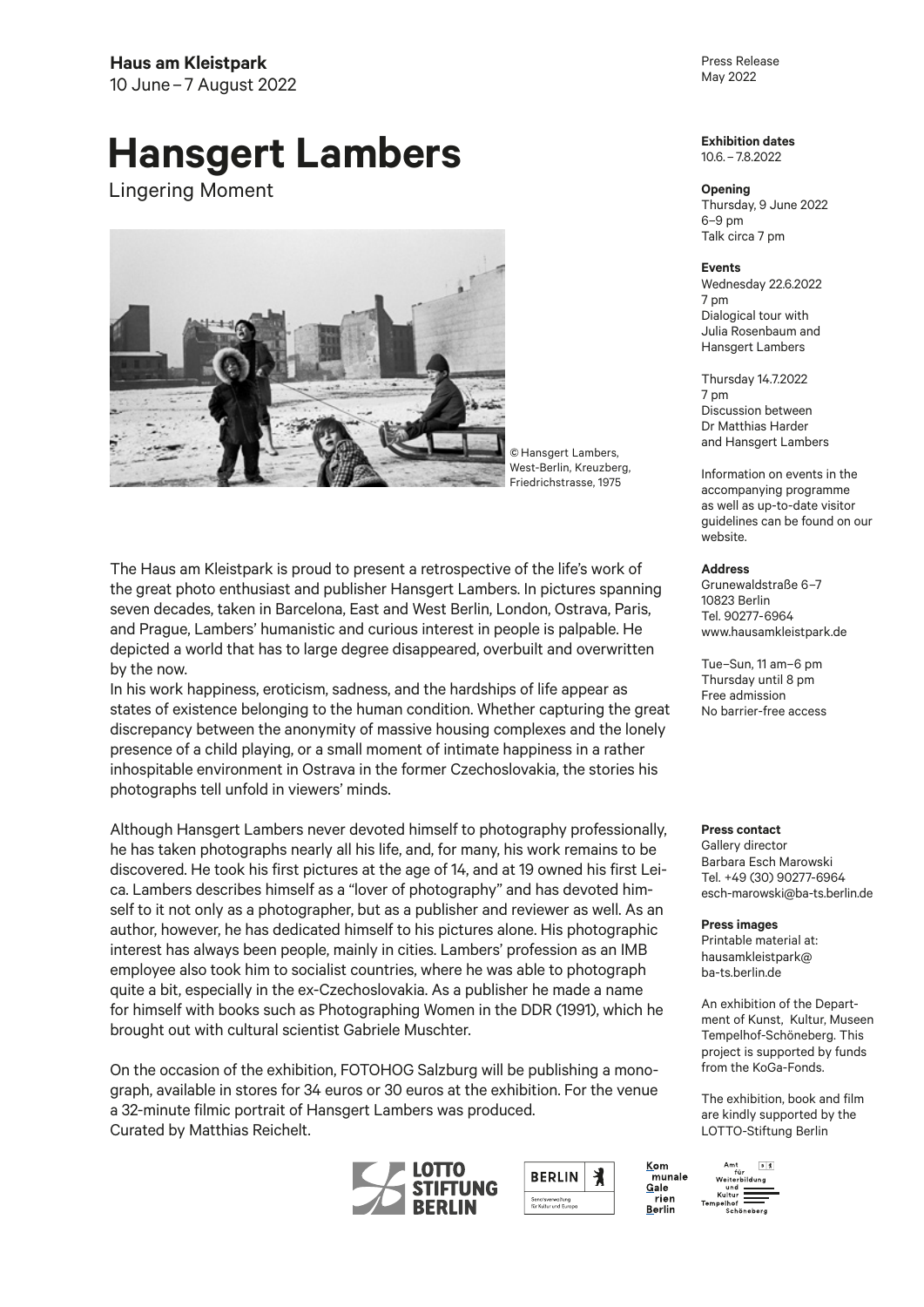## **Hansgert Lambers**

Lingering Moment



© Hansgert Lambers, West-Berlin, Kreuzberg, Friedrichstrasse, 1975

The Haus am Kleistpark is proud to present a retrospective of the life's work of the great photo enthusiast and publisher Hansgert Lambers. In pictures spanning seven decades, taken in Barcelona, East and West Berlin, London, Ostrava, Paris, and Prague, Lambers' humanistic and curious interest in people is palpable. He depicted a world that has to large degree disappeared, overbuilt and overwritten by the now.

In his work happiness, eroticism, sadness, and the hardships of life appear as states of existence belonging to the human condition. Whether capturing the great discrepancy between the anonymity of massive housing complexes and the lonely presence of a child playing, or a small moment of intimate happiness in a rather inhospitable environment in Ostrava in the former Czechoslovakia, the stories his photographs tell unfold in viewers' minds.

Although Hansgert Lambers never devoted himself to photography professionally, he has taken photographs nearly all his life, and, for many, his work remains to be discovered. He took his first pictures at the age of 14, and at 19 owned his first Leica. Lambers describes himself as a "lover of photography" and has devoted himself to it not only as a photographer, but as a publisher and reviewer as well. As an author, however, he has dedicated himself to his pictures alone. His photographic interest has always been people, mainly in cities. Lambers' profession as an IMB employee also took him to socialist countries, where he was able to photograph quite a bit, especially in the ex-Czechoslovakia. As a publisher he made a name for himself with books such as Photographing Women in the DDR (1991), which he brought out with cultural scientist Gabriele Muschter.

On the occasion of the exhibition, FOTOHOG Salzburg will be publishing a monograph, available in stores for 34 euros or 30 euros at the exhibition. For the venue a 32-minute filmic portrait of Hansgert Lambers was produced. Curated by Matthias Reichelt.



Kom

Gale

Berlin

....<br>rien

munale

Press Release May 2022

**Exhibition dates**  10.6. – 7.8.2022

**Opening** Thursday, 9 June 2022 6–9 pm Talk circa 7 pm

**Events** Wednesday 22.6.2022 7 pm Dialogical tour with Julia Rosenbaum and Hansgert Lambers

Thursday 14.7.2022 7 pm Discussion between Dr Matthias Harder and Hansgert Lambers

Information on events in the accompanying programme as well as up-to-date visitor guidelines can be found on our website.

**Address**

Grunewaldstraße 6–7 10823 Berlin Tel. 90277-6964 www.hausamkleistpark.de

Tue–Sun, 11 am–6 pm Thursday until 8 pm Free admission No barrier-free access

**Press contact** 

Gallery director Barbara Esch Marowski Tel. +49 (30) 90277-6964 esch-marowski@ba-ts.berlin.de

**Press images**  Printable material at: hausamkleistpark@ ba-ts.berlin.de

An exhibition of the Department of Kunst, Kultur, Museen Tempelhof-Schöneberg. This project is supported by funds from the KoGa-Fonds.

The exhibition, book and film are kindly supported by the LOTTO-Stiftung Berlin

 $B$ 

Amt B<br>für<br>Weiterbildung und<br>Kultur Kultur<br>Tempelhof<br>Schöneber